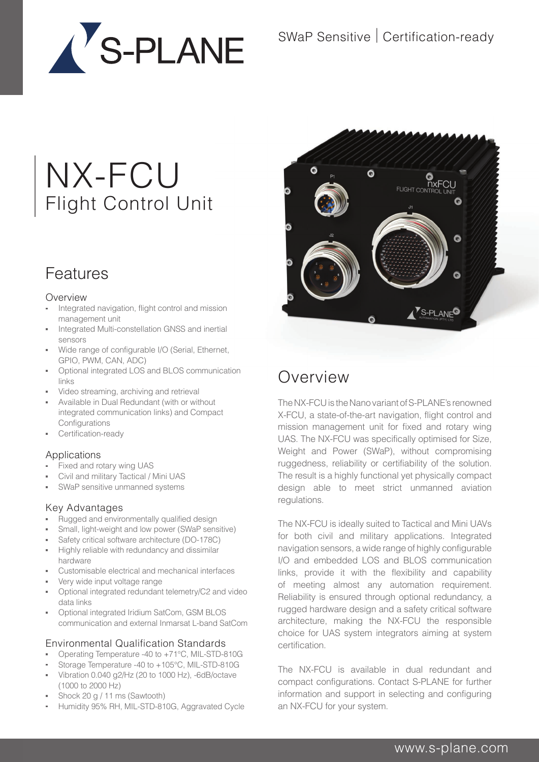

# NX-FCU Flight Control Unit

## Features

#### **Overview**

- **Integrated navigation, flight control and mission** management unit
- Integrated Multi-constellation GNSS and inertial sensors
- **Wide range of configurable I/O (Serial, Ethernet,** GPIO, PWM, CAN, ADC)
- Optional integrated LOS and BLOS communication links
- Video streaming, archiving and retrieval
- Available in Dual Redundant (with or without integrated communication links) and Compact **Configurations**
- Certification-ready

#### Applications

- Fixed and rotary wing UAS
- Civil and military Tactical / Mini UAS
- SWaP sensitive unmanned systems

#### Key Advantages

- Rugged and environmentally qualified design
- Small, light-weight and low power (SWaP sensitive)
- Safety critical software architecture (DO-178C)
- Highly reliable with redundancy and dissimilar hardware
- Customisable electrical and mechanical interfaces
- Very wide input voltage range
- **D** Optional integrated redundant telemetry/C2 and video data links
- Optional integrated Iridium SatCom, GSM BLOS communication and external Inmarsat L-band SatCom

#### Environmental Qualification Standards

- Operating Temperature -40 to +71°C, MIL-STD-810G
- Storage Temperature -40 to +105°C, MIL-STD-810G
- Vibration 0.040 g2/Hz (20 to 1000 Hz), -6dB/octave (1000 to 2000 Hz)
- Shock 20 g / 11 ms (Sawtooth)
- Humidity 95% RH, MIL-STD-810G, Aggravated Cycle



## Overview

The NX-FCU is the Nano variant of S-PLANE's renowned X-FCU, a state-of-the-art navigation, flight control and mission management unit for fixed and rotary wing UAS. The NX-FCU was specifically optimised for Size, Weight and Power (SWaP), without compromising ruggedness, reliability or certifiability of the solution. The result is a highly functional yet physically compact design able to meet strict unmanned aviation regulations.

The NX-FCU is ideally suited to Tactical and Mini UAVs for both civil and military applications. Integrated navigation sensors, a wide range of highly configurable I/O and embedded LOS and BLOS communication links, provide it with the flexibility and capability of meeting almost any automation requirement. Reliability is ensured through optional redundancy, a rugged hardware design and a safety critical software architecture, making the NX-FCU the responsible choice for UAS system integrators aiming at system certification.

The NX-FCU is available in dual redundant and compact configurations. Contact S-PLANE for further information and support in selecting and configuring an NX-FCU for your system.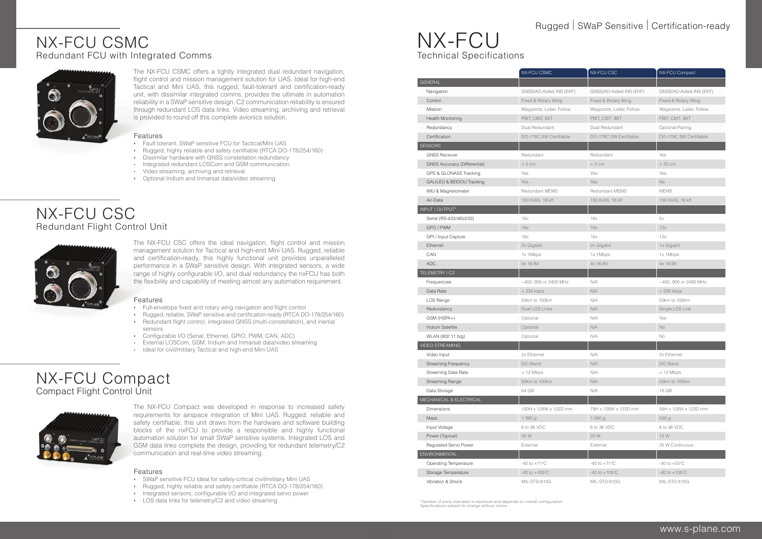#### www.s-plane.com

- Full-envelope fixed and rotary wing navigation and flight control
- Rugged, reliable, SWaP sensitive and certification-ready (RTCA DO-178/254/160) Redundant flight control, integrated GNSS (multi-constellation), and inertial
- sensors Configurable I/O (Serial, Ethernet, GPIO, PWM, CAN, ADC)
- **External LOSCom, GSM, Iridium and Inmarsat data/video streaming**
- **In Ideal for civil/military Tactical and high-end Mini UAS**

The NX-FCU CSC offers the ideal navigation, flight control and mission management solution for Tactical and high-end Mini UAS. Rugged, reliable and certification-ready, this highly functional unit provides unparalleled performance in a SWaP sensitive design. With integrated sensors, a wide range of highly configurable I/O, and dual redundancy the nxFCU has both the flexibility and capability of meeting almost any automation requirement.

#### Features

- Fault tolerant, SWaP sensitive FCU for Tactical/Mini UAS
- Rugged, highly reliable and safety certifiable (RTCA DO-178/254/160)
- **Dissimilar hardware with GNSS constellation redundancy**
- **Integrated redundant LOSCom and GSM communication**
- **Video streaming, archiving and retrieval**
- **•** Optional Iridium and Inmarsat data/video streaming

## NX-FCU CSC Redundant Flight Control Unit



The NX-FCU CSMC offers a tightly integrated dual redundant navigation, flight control and mission management solution for UAS. Ideal for high-end Tactical and Mini UAS, this rugged, fault-tolerant and certification-ready unit, with dissimilar integrated comms, provides the ultimate in automation reliability in a SWaP sensitive design. C2 communication reliability is ensured through redundant LOS data links. Video streaming, archiving and retrieval is provided to round off this complete avionics solution.

#### Features

## NX-FCU CSMC Redundant FCU with Integrated Comms



\*Number of ports indicated is maximum and depends on overall configuration.  $\frac{1}{2}$  is subject to change without notice

### Rugged | SWaP Sensitive | Certification-ready

- SWaP sensitive FCU ideal for safety-critical civil/military Mini UAS
- Rugged, highly reliable and safety certifiable (RTCA DO-178/254/160)
- **Integrated sensors, configurable I/O and integrated servo power**
- LOS data links for telemetry/C2 and video streaming

## NX-FCU Compact Compact Flight Control Unit



|                                     | NX-FCU CSMC               | <b>NX-FCU CSC</b>         | <b>NX-FCU Compact</b>     |
|-------------------------------------|---------------------------|---------------------------|---------------------------|
| <b>GENERAL</b>                      |                           |                           |                           |
| Navigation                          | GNSS/AD-Aided INS (EKF)   | GNSS/AD-Aided INS (EKF)   | GNSS/AD-Aided INS (EKF)   |
| Control                             | Fixed & Rotary Wing       | Fixed & Rotary Wing       | Fixed & Rotary Wing       |
| <b>Mission</b>                      | Waypoints, Loiter, Follow | Waypoints, Loiter, Follow | Waypoints, Loiter, Follow |
| <b>Health Monitoring</b>            | PBIT, CBIT, IBIT          | PBIT, CBIT, IBIT          | PBIT, CBIT, IBIT          |
| Redundancy                          | Dual Redundant            | Dual Redundant            | Optional Pairing          |
| Certification                       | DO-178C SW Certifiable    | DO-178C SW Certifiable    | DO-178C SW Certifiable    |
| <b>SENSORS</b>                      |                           |                           |                           |
| <b>GNSS Receiver</b>                | Redundant                 | Redundant                 | Yes                       |
| <b>GNSS Accuracy (Differential)</b> | < 2 cm                    | $< 2$ cm                  | < 20 cm                   |
| GPS & GLONASS Tracking              | Yes                       | Yes                       | Yes                       |
| GALILEO & BEIDOU Tracking           | Yes                       | Yes                       | No                        |
| IMU & Magnetometer                  | <b>Redundant MEMS</b>     | <b>Redundant MEMS</b>     | <b>MEMS</b>               |
| Air-Data                            | 150 KIAS, 18 kft          | 150 KIAS, 18 kft          | 150 KIAS, 18 kft          |
| INPUT / OUTPUT*                     |                           |                           |                           |
| Serial (RS-422/485/232)             | 16x                       | 16x                       | 5x                        |
| GPO / PWM                           | 16x                       | 16x                       | 12x                       |
| GPI / Input Capture                 | 16x                       | 16x                       | 12x                       |
| Ethernet                            | 2x Gigabit                | 2x Gigabit                | 1x Gigabit                |
| CAN                                 | 1x 1Mbps                  | 1x 1Mbps                  | 1x 1Mbps                  |
| <b>ADC</b>                          | 4x 16 Bit                 | 4x 16 Bit                 | 4x 16 Bit                 |
| TELEMETRY / C2                      |                           |                           |                           |
| Frequencies                         | ~400, 900 or 2400 MHz     | N/A                       | ~400, 900 or 2400 MHz     |
| Data Rate                           | $<$ 230 kbps              | N/A                       | < 230 kbps                |
| LOS Range                           | 50km to 100km             | N/A                       | 50km to 100km             |
| Redundancy                          | Dual LOS Links            | N/A                       | Single LOS Link           |
| GSM (HSPA+)                         | Optional                  | N/A                       | Yes                       |
| Iridium Satellite                   | Optional                  | N/A                       | No                        |
| WLAN (802.11 b/g)                   | Optional                  | N/A                       | No                        |
| <b>VIDEO STREAMING</b>              |                           |                           |                           |
| Video Input                         | 2x Ethernet               | N/A                       | 2x Ethernet               |
| <b>Streaming Frequency</b>          | S/C-Band                  | N/A                       | S/C-Band                  |
| Streaming Data Rate                 | $<$ 12 Mbps               | N/A                       | < 12 Mbps                 |
| <b>Streaming Range</b>              | 50km to 100km             | N/A                       | 50km to 100km             |
| Data Storage                        | 64 GB                     | N/A                       | 16 GB                     |
| MECHANICAL & ELECTRICAL             |                           |                           |                           |
| <b>Dimensions</b>                   | 100H x 128W x 122D mm     | 79H x 128W x 122D mm      | 58H x 128W x 122D mm      |
| Mass                                | 1 360 g                   | 1090g                     | 530 g                     |
| Input Voltage                       | 6 to 36 VDC               | 6 to 36 VDC               | 6 to 36 VDC               |
| Power (Typical)                     | 35 W                      | 20 W                      | 15 W                      |
| Regulated Servo Power               | External                  | External                  | 25 W Continuous           |
| <b>ENVIRONMENTAL</b>                |                           |                           |                           |
| <b>Operating Temperature</b>        | $-40$ to $+71^{\circ}$ C  | $-40$ to $+71^{\circ}$ C  | $-40$ to $+55^{\circ}$ C  |
| Storage Temperature                 | $-40$ to $+105$ °C        | $-40$ to $+105$ °C        | $-40$ to $+105$ °C        |
| Vibration & Shock                   | MIL-STD-810G              | MIL-STD-810G              | MIL-STD-810G              |

|                                     | NX-FCU CSMC               | NX-FCU CSC                | NX-FCU Compact            |
|-------------------------------------|---------------------------|---------------------------|---------------------------|
| <b>NERAL</b>                        |                           |                           |                           |
| Navigation                          | GNSS/AD-Aided INS (EKF)   | GNSS/AD-Aided INS (EKF)   | GNSS/AD-Aided INS (EKF)   |
| Control                             | Fixed & Rotary Wing       | Fixed & Rotary Wing       | Fixed & Rotary Wing       |
| Mission                             | Waypoints, Loiter, Follow | Waypoints, Loiter, Follow | Waypoints, Loiter, Follow |
| <b>Health Monitoring</b>            | PBIT, CBIT, IBIT          | PBIT, CBIT, IBIT          | PBIT, CBIT, IBIT          |
| Redundancy                          | Dual Redundant            | Dual Redundant            | <b>Optional Pairing</b>   |
| Certification                       | DO-178C SW Certifiable    | DO-178C SW Certifiable    | DO-178C SW Certifiable    |
| <b>ISORS</b>                        |                           |                           |                           |
| <b>GNSS Receiver</b>                | Redundant                 | Redundant                 | Yes                       |
| <b>GNSS Accuracy (Differential)</b> | < 2 cm                    | < 2 cm                    | < 20 cm                   |
| GPS & GLONASS Tracking              | Yes                       | Yes                       | Yes                       |
| GALILEO & BEIDOU Tracking           | Yes                       | Yes                       | No                        |
| <b>IMU &amp; Magnetometer</b>       | <b>Redundant MEMS</b>     | <b>Redundant MEMS</b>     | <b>MEMS</b>               |
| Air-Data                            | 150 KIAS, 18 kft          | 150 KIAS, 18 kft          | 150 KIAS, 18 kft          |
| UT / OUTPUT*                        |                           |                           |                           |
| Serial (RS-422/485/232)             | 16x                       | 16x                       | 5x                        |
| GPO / PWM                           | 16x                       | 16x                       | 12x                       |
| GPI / Input Capture                 | 16x                       | 16x                       | 12x                       |
| Ethernet                            | 2x Gigabit                | 2x Gigabit                | 1x Gigabit                |
| CAN                                 | 1x 1Mbps                  | 1x 1Mbps                  | 1x 1Mbps                  |
| ADC                                 | 4x 16 Bit                 | 4x 16 Bit                 | 4x 16 Bit                 |
| EMETRY / C <sub>2</sub>             |                           |                           |                           |
| Frequencies                         | ~400, 900 or 2400 MHz     | N/A                       | ~400, 900 or 2400 MHz     |
| Data Rate                           | < 230 kbps                | N/A                       | $<$ 230 kbps              |
| LOS Range                           | 50km to 100km             | N/A                       | 50km to 100km             |
| Redundancy                          | Dual LOS Links            | N/A                       | Single LOS Link           |
| GSM (HSPA+)                         | Optional                  | N/A                       | Yes                       |
| <b>Iridium Satellite</b>            | Optional                  | N/A                       | No                        |
| WLAN (802.11 b/g)                   | Optional                  | N/A                       | No                        |
| <b>EO STREAMING</b>                 |                           |                           |                           |
| Video Input                         | 2x Ethernet               | N/A                       | 2x Ethernet               |
| <b>Streaming Frequency</b>          | S/C-Band                  | N/A                       | S/C-Band                  |
| <b>Streaming Data Rate</b>          | $<$ 12 Mbps               | N/A                       | $<$ 12 Mbps               |
| <b>Streaming Range</b>              | 50km to 100km             | N/A                       | 50km to 100km             |
| Data Storage                        | 64 GB                     | N/A                       | 16 GB                     |
| <b>CHANICAL &amp; ELECTRICAL</b>    |                           |                           |                           |
| <b>Dimensions</b>                   | 100H x 128W x 122D mm     | 79H x 128W x 122D mm      | 58H x 128W x 122D mm      |
| Mass                                | 1 360 g                   | 1090g                     | 530 g                     |
| Input Voltage                       | 6 to 36 VDC               | 6 to 36 VDC               | 6 to 36 VDC               |
| Power (Typical)                     | 35 W                      | 20 W                      | 15 W                      |
| Regulated Servo Power               | External                  | External                  | 25 W Continuous           |
| VIRONMENTAL                         |                           |                           |                           |
| <b>Operating Temperature</b>        | $-40$ to $+71^{\circ}$ C  | $-40$ to $+71^{\circ}$ C  | $-40$ to $+55^{\circ}$ C  |
| Storage Temperature                 | $-40$ to $+105$ °C        | $-40$ to $+105$ °C        | $-40$ to $+105$ °C        |
| Vibration & Shock                   | MIL-STD-810G              | MIL-STD-810G              | MIL-STD-810G              |

## NX-FCU Technical Specifications

The NX-FCU Compact was developed in response to increased safety requirements for airspace integration of Mini UAS. Rugged, reliable and safety certifiable, this unit draws from the hardware and software building blocks of the nxFCU to provide a responsible and highly functional automation solution for small SWaP sensitive systems. Integrated LOS and GSM data links complete the design, providing for redundant telemetry/C2 communication and real-time video streaming.

#### Features